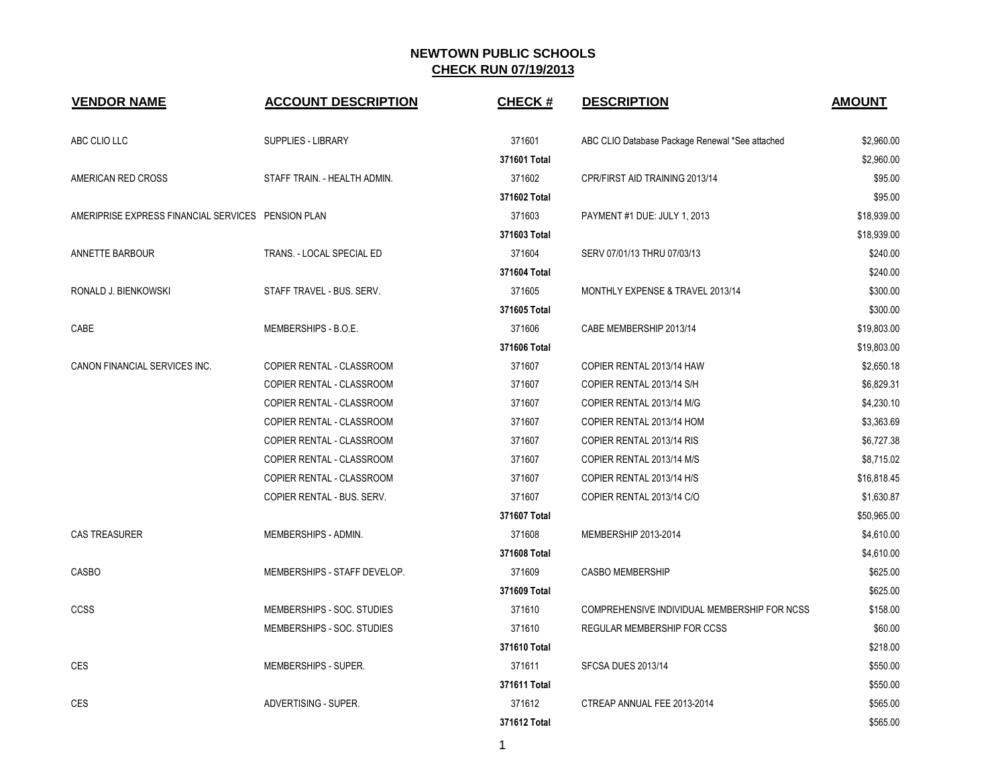| <b>VENDOR NAME</b>                                 | <b>ACCOUNT DESCRIPTION</b>       | <b>CHECK#</b> | <b>DESCRIPTION</b>                              | <b>AMOUNT</b> |
|----------------------------------------------------|----------------------------------|---------------|-------------------------------------------------|---------------|
| ABC CLIO LLC                                       | <b>SUPPLIES - LIBRARY</b>        | 371601        | ABC CLIO Database Package Renewal *See attached | \$2,960.00    |
|                                                    |                                  | 371601 Total  |                                                 | \$2,960.00    |
| AMERICAN RED CROSS                                 | STAFF TRAIN. - HEALTH ADMIN.     | 371602        | CPR/FIRST AID TRAINING 2013/14                  | \$95.00       |
|                                                    |                                  | 371602 Total  |                                                 | \$95.00       |
| AMERIPRISE EXPRESS FINANCIAL SERVICES PENSION PLAN |                                  | 371603        | PAYMENT #1 DUE: JULY 1, 2013                    | \$18,939.00   |
|                                                    |                                  | 371603 Total  |                                                 | \$18,939.00   |
| ANNETTE BARBOUR                                    | TRANS. - LOCAL SPECIAL ED        | 371604        | SERV 07/01/13 THRU 07/03/13                     | \$240.00      |
|                                                    |                                  | 371604 Total  |                                                 | \$240.00      |
| RONALD J. BIENKOWSKI                               | STAFF TRAVEL - BUS. SERV.        | 371605        | MONTHLY EXPENSE & TRAVEL 2013/14                | \$300.00      |
|                                                    |                                  | 371605 Total  |                                                 | \$300.00      |
| CABE                                               | MEMBERSHIPS - B.O.E.             | 371606        | CABE MEMBERSHIP 2013/14                         | \$19,803.00   |
|                                                    |                                  | 371606 Total  |                                                 | \$19,803.00   |
| CANON FINANCIAL SERVICES INC.                      | COPIER RENTAL - CLASSROOM        | 371607        | COPIER RENTAL 2013/14 HAW                       | \$2,650.18    |
|                                                    | <b>COPIER RENTAL - CLASSROOM</b> | 371607        | COPIER RENTAL 2013/14 S/H                       | \$6,829.31    |
|                                                    | <b>COPIER RENTAL - CLASSROOM</b> | 371607        | COPIER RENTAL 2013/14 M/G                       | \$4,230.10    |
|                                                    | COPIER RENTAL - CLASSROOM        | 371607        | COPIER RENTAL 2013/14 HOM                       | \$3,363.69    |
|                                                    | COPIER RENTAL - CLASSROOM        | 371607        | COPIER RENTAL 2013/14 RIS                       | \$6,727.38    |
|                                                    | COPIER RENTAL - CLASSROOM        | 371607        | COPIER RENTAL 2013/14 M/S                       | \$8,715.02    |
|                                                    | COPIER RENTAL - CLASSROOM        | 371607        | COPIER RENTAL 2013/14 H/S                       | \$16,818.45   |
|                                                    | COPIER RENTAL - BUS. SERV.       | 371607        | COPIER RENTAL 2013/14 C/O                       | \$1,630.87    |
|                                                    |                                  | 371607 Total  |                                                 | \$50,965.00   |
| <b>CAS TREASURER</b>                               | MEMBERSHIPS - ADMIN.             | 371608        | MEMBERSHIP 2013-2014                            | \$4,610.00    |
|                                                    |                                  | 371608 Total  |                                                 | \$4,610.00    |
| <b>CASBO</b>                                       | MEMBERSHIPS - STAFF DEVELOP.     | 371609        | <b>CASBO MEMBERSHIP</b>                         | \$625.00      |
|                                                    |                                  | 371609 Total  |                                                 | \$625.00      |
| <b>CCSS</b>                                        | MEMBERSHIPS - SOC. STUDIES       | 371610        | COMPREHENSIVE INDIVIDUAL MEMBERSHIP FOR NCSS    | \$158.00      |
|                                                    | MEMBERSHIPS - SOC. STUDIES       | 371610        | REGULAR MEMBERSHIP FOR CCSS                     | \$60.00       |
|                                                    |                                  | 371610 Total  |                                                 | \$218.00      |
| <b>CES</b>                                         | MEMBERSHIPS - SUPER.             | 371611        | SFCSA DUES 2013/14                              | \$550.00      |
|                                                    |                                  | 371611 Total  |                                                 | \$550.00      |
| <b>CES</b>                                         | ADVERTISING - SUPER.             | 371612        | CTREAP ANNUAL FEE 2013-2014                     | \$565.00      |
|                                                    |                                  | 371612 Total  |                                                 | \$565.00      |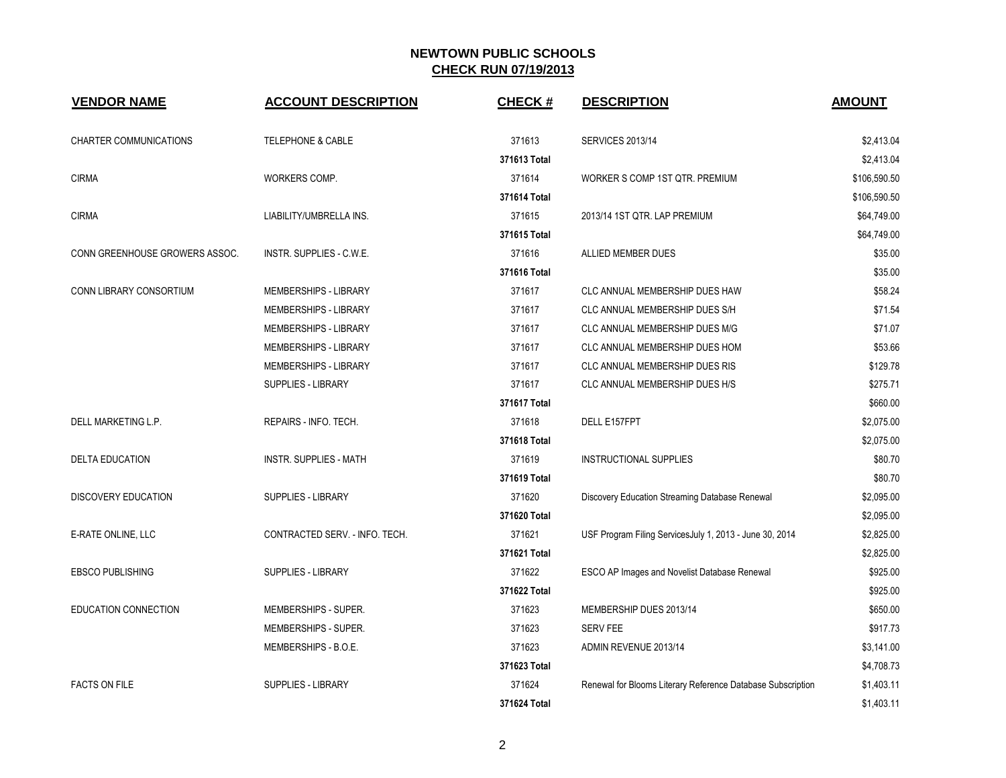| <b>VENDOR NAME</b>             | <b>ACCOUNT DESCRIPTION</b>     | <b>CHECK#</b> | <b>DESCRIPTION</b>                                          | <b>AMOUNT</b> |
|--------------------------------|--------------------------------|---------------|-------------------------------------------------------------|---------------|
| <b>CHARTER COMMUNICATIONS</b>  | <b>TELEPHONE &amp; CABLE</b>   | 371613        | <b>SERVICES 2013/14</b>                                     | \$2,413.04    |
|                                |                                | 371613 Total  |                                                             | \$2,413.04    |
| <b>CIRMA</b>                   | WORKERS COMP.                  | 371614        | WORKER S COMP 1ST QTR. PREMIUM                              | \$106,590.50  |
|                                |                                | 371614 Total  |                                                             | \$106,590.50  |
| <b>CIRMA</b>                   | LIABILITY/UMBRELLA INS.        | 371615        | 2013/14 1ST QTR. LAP PREMIUM                                | \$64,749.00   |
|                                |                                | 371615 Total  |                                                             | \$64,749.00   |
| CONN GREENHOUSE GROWERS ASSOC. | INSTR. SUPPLIES - C.W.E.       | 371616        | ALLIED MEMBER DUES                                          | \$35.00       |
|                                |                                | 371616 Total  |                                                             | \$35.00       |
| CONN LIBRARY CONSORTIUM        | MEMBERSHIPS - LIBRARY          | 371617        | CLC ANNUAL MEMBERSHIP DUES HAW                              | \$58.24       |
|                                | MEMBERSHIPS - LIBRARY          | 371617        | CLC ANNUAL MEMBERSHIP DUES S/H                              | \$71.54       |
|                                | MEMBERSHIPS - LIBRARY          | 371617        | CLC ANNUAL MEMBERSHIP DUES M/G                              | \$71.07       |
|                                | MEMBERSHIPS - LIBRARY          | 371617        | CLC ANNUAL MEMBERSHIP DUES HOM                              | \$53.66       |
|                                | MEMBERSHIPS - LIBRARY          | 371617        | <b>CLC ANNUAL MEMBERSHIP DUES RIS</b>                       | \$129.78      |
|                                | SUPPLIES - LIBRARY             | 371617        | CLC ANNUAL MEMBERSHIP DUES H/S                              | \$275.71      |
|                                |                                | 371617 Total  |                                                             | \$660.00      |
| DELL MARKETING L.P.            | REPAIRS - INFO. TECH.          | 371618        | DELL E157FPT                                                | \$2,075.00    |
|                                |                                | 371618 Total  |                                                             | \$2,075.00    |
| <b>DELTA EDUCATION</b>         | <b>INSTR. SUPPLIES - MATH</b>  | 371619        | <b>INSTRUCTIONAL SUPPLIES</b>                               | \$80.70       |
|                                |                                | 371619 Total  |                                                             | \$80.70       |
| <b>DISCOVERY EDUCATION</b>     | <b>SUPPLIES - LIBRARY</b>      | 371620        | Discovery Education Streaming Database Renewal              | \$2,095.00    |
|                                |                                | 371620 Total  |                                                             | \$2,095.00    |
| E-RATE ONLINE, LLC             | CONTRACTED SERV. - INFO. TECH. | 371621        | USF Program Filing ServicesJuly 1, 2013 - June 30, 2014     | \$2,825.00    |
|                                |                                | 371621 Total  |                                                             | \$2,825.00    |
| <b>EBSCO PUBLISHING</b>        | <b>SUPPLIES - LIBRARY</b>      | 371622        | ESCO AP Images and Novelist Database Renewal                | \$925.00      |
|                                |                                | 371622 Total  |                                                             | \$925.00      |
| EDUCATION CONNECTION           | MEMBERSHIPS - SUPER.           | 371623        | MEMBERSHIP DUES 2013/14                                     | \$650.00      |
|                                | MEMBERSHIPS - SUPER.           | 371623        | <b>SERV FEE</b>                                             | \$917.73      |
|                                | MEMBERSHIPS - B.O.E.           | 371623        | ADMIN REVENUE 2013/14                                       | \$3,141.00    |
|                                |                                | 371623 Total  |                                                             | \$4,708.73    |
| <b>FACTS ON FILE</b>           | <b>SUPPLIES - LIBRARY</b>      | 371624        | Renewal for Blooms Literary Reference Database Subscription | \$1,403.11    |
|                                |                                | 371624 Total  |                                                             | \$1,403.11    |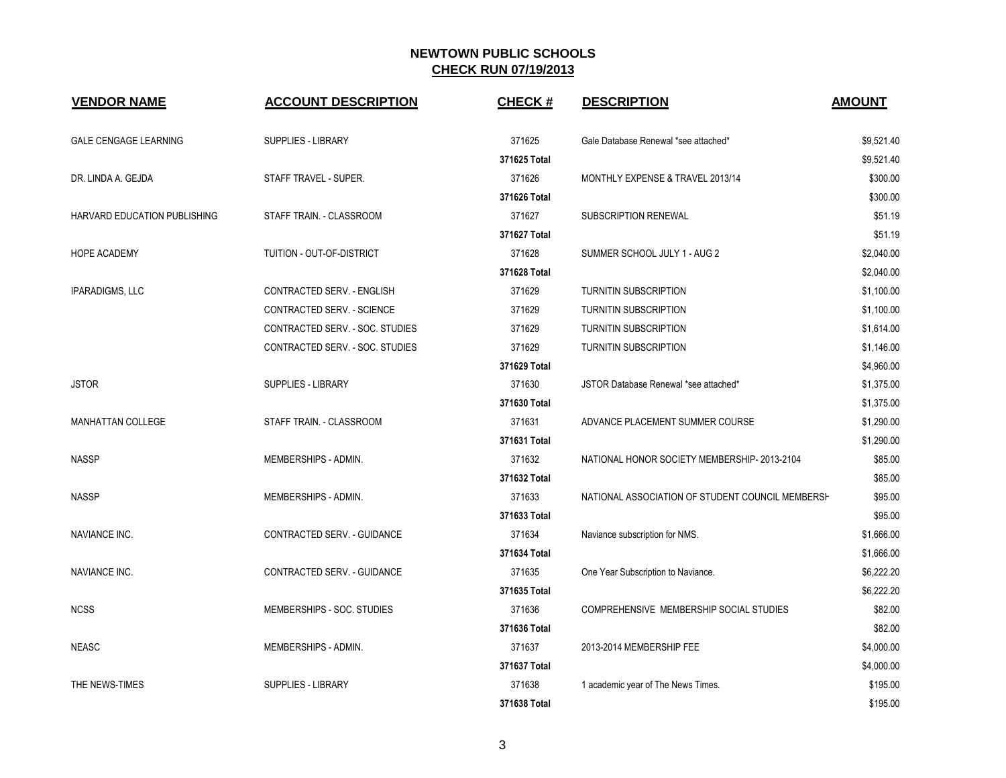| <b>VENDOR NAME</b>           | <b>ACCOUNT DESCRIPTION</b>      | <b>CHECK#</b> | <b>DESCRIPTION</b>                               | <b>AMOUNT</b> |
|------------------------------|---------------------------------|---------------|--------------------------------------------------|---------------|
| <b>GALE CENGAGE LEARNING</b> | <b>SUPPLIES - LIBRARY</b>       | 371625        | Gale Database Renewal *see attached*             | \$9,521.40    |
|                              |                                 | 371625 Total  |                                                  | \$9,521.40    |
| DR. LINDA A. GEJDA           | STAFF TRAVEL - SUPER.           | 371626        | MONTHLY EXPENSE & TRAVEL 2013/14                 | \$300.00      |
|                              |                                 | 371626 Total  |                                                  | \$300.00      |
| HARVARD EDUCATION PUBLISHING | STAFF TRAIN. - CLASSROOM        | 371627        | SUBSCRIPTION RENEWAL                             | \$51.19       |
|                              |                                 | 371627 Total  |                                                  | \$51.19       |
| <b>HOPE ACADEMY</b>          | TUITION - OUT-OF-DISTRICT       | 371628        | SUMMER SCHOOL JULY 1 - AUG 2                     | \$2,040.00    |
|                              |                                 | 371628 Total  |                                                  | \$2,040.00    |
| <b>IPARADIGMS, LLC</b>       | CONTRACTED SERV. - ENGLISH      | 371629        | TURNITIN SUBSCRIPTION                            | \$1,100.00    |
|                              | CONTRACTED SERV. - SCIENCE      | 371629        | TURNITIN SUBSCRIPTION                            | \$1,100.00    |
|                              | CONTRACTED SERV. - SOC. STUDIES | 371629        | <b>TURNITIN SUBSCRIPTION</b>                     | \$1,614.00    |
|                              | CONTRACTED SERV. - SOC. STUDIES | 371629        | TURNITIN SUBSCRIPTION                            | \$1,146.00    |
|                              |                                 | 371629 Total  |                                                  | \$4,960.00    |
| <b>JSTOR</b>                 | <b>SUPPLIES - LIBRARY</b>       | 371630        | JSTOR Database Renewal *see attached*            | \$1,375.00    |
|                              |                                 | 371630 Total  |                                                  | \$1,375.00    |
| <b>MANHATTAN COLLEGE</b>     | STAFF TRAIN. - CLASSROOM        | 371631        | ADVANCE PLACEMENT SUMMER COURSE                  | \$1,290.00    |
|                              |                                 | 371631 Total  |                                                  | \$1,290.00    |
| <b>NASSP</b>                 | MEMBERSHIPS - ADMIN.            | 371632        | NATIONAL HONOR SOCIETY MEMBERSHIP-2013-2104      | \$85.00       |
|                              |                                 | 371632 Total  |                                                  | \$85.00       |
| <b>NASSP</b>                 | MEMBERSHIPS - ADMIN.            | 371633        | NATIONAL ASSOCIATION OF STUDENT COUNCIL MEMBERSH | \$95.00       |
|                              |                                 | 371633 Total  |                                                  | \$95.00       |
| <b>NAVIANCE INC.</b>         | CONTRACTED SERV. - GUIDANCE     | 371634        | Naviance subscription for NMS.                   | \$1,666.00    |
|                              |                                 | 371634 Total  |                                                  | \$1,666.00    |
| NAVIANCE INC.                | CONTRACTED SERV. - GUIDANCE     | 371635        | One Year Subscription to Naviance.               | \$6,222.20    |
|                              |                                 | 371635 Total  |                                                  | \$6,222.20    |
| <b>NCSS</b>                  | MEMBERSHIPS - SOC. STUDIES      | 371636        | COMPREHENSIVE MEMBERSHIP SOCIAL STUDIES          | \$82.00       |
|                              |                                 | 371636 Total  |                                                  | \$82.00       |
| <b>NEASC</b>                 | MEMBERSHIPS - ADMIN.            | 371637        | 2013-2014 MEMBERSHIP FEE                         | \$4,000.00    |
|                              |                                 | 371637 Total  |                                                  | \$4,000.00    |
| THE NEWS-TIMES               | SUPPLIES - LIBRARY              | 371638        | 1 academic year of The News Times.               | \$195.00      |
|                              |                                 | 371638 Total  |                                                  | \$195.00      |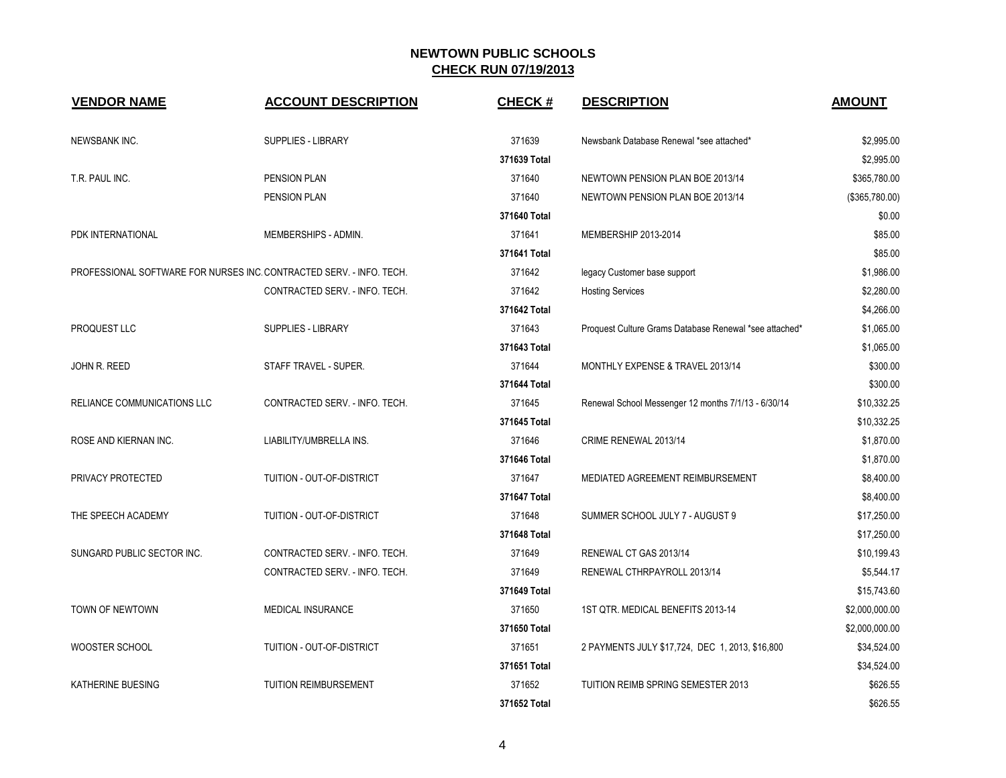| <b>VENDOR NAME</b>                 | <b>ACCOUNT DESCRIPTION</b>                                           | <b>CHECK#</b> | <b>DESCRIPTION</b>                                     | <b>AMOUNT</b>  |
|------------------------------------|----------------------------------------------------------------------|---------------|--------------------------------------------------------|----------------|
| NEWSBANK INC.                      | SUPPLIES - LIBRARY                                                   | 371639        | Newsbank Database Renewal *see attached*               | \$2,995.00     |
|                                    |                                                                      | 371639 Total  |                                                        | \$2,995.00     |
| T.R. PAUL INC.                     | PENSION PLAN                                                         | 371640        | NEWTOWN PENSION PLAN BOE 2013/14                       | \$365,780.00   |
|                                    | PENSION PLAN                                                         | 371640        | NEWTOWN PENSION PLAN BOE 2013/14                       | (\$365,780.00) |
|                                    |                                                                      | 371640 Total  |                                                        | \$0.00         |
| PDK INTERNATIONAL                  | MEMBERSHIPS - ADMIN.                                                 | 371641        | MEMBERSHIP 2013-2014                                   | \$85.00        |
|                                    |                                                                      | 371641 Total  |                                                        | \$85.00        |
|                                    | PROFESSIONAL SOFTWARE FOR NURSES INC. CONTRACTED SERV. - INFO. TECH. | 371642        | legacy Customer base support                           | \$1,986.00     |
|                                    | CONTRACTED SERV. - INFO. TECH.                                       | 371642        | <b>Hosting Services</b>                                | \$2,280.00     |
|                                    |                                                                      | 371642 Total  |                                                        | \$4,266.00     |
| PROQUEST LLC                       | <b>SUPPLIES - LIBRARY</b>                                            | 371643        | Proquest Culture Grams Database Renewal *see attached* | \$1,065.00     |
|                                    |                                                                      | 371643 Total  |                                                        | \$1,065.00     |
| JOHN R. REED                       | STAFF TRAVEL - SUPER.                                                | 371644        | MONTHLY EXPENSE & TRAVEL 2013/14                       | \$300.00       |
|                                    |                                                                      | 371644 Total  |                                                        | \$300.00       |
| <b>RELIANCE COMMUNICATIONS LLC</b> | CONTRACTED SERV. - INFO. TECH.                                       | 371645        | Renewal School Messenger 12 months 7/1/13 - 6/30/14    | \$10,332.25    |
|                                    |                                                                      | 371645 Total  |                                                        | \$10,332.25    |
| ROSE AND KIERNAN INC.              | LIABILITY/UMBRELLA INS.                                              | 371646        | CRIME RENEWAL 2013/14                                  | \$1,870.00     |
|                                    |                                                                      | 371646 Total  |                                                        | \$1,870.00     |
| PRIVACY PROTECTED                  | TUITION - OUT-OF-DISTRICT                                            | 371647        | MEDIATED AGREEMENT REIMBURSEMENT                       | \$8,400.00     |
|                                    |                                                                      | 371647 Total  |                                                        | \$8,400.00     |
| THE SPEECH ACADEMY                 | TUITION - OUT-OF-DISTRICT                                            | 371648        | SUMMER SCHOOL JULY 7 - AUGUST 9                        | \$17,250.00    |
|                                    |                                                                      | 371648 Total  |                                                        | \$17,250.00    |
| SUNGARD PUBLIC SECTOR INC.         | CONTRACTED SERV. - INFO. TECH.                                       | 371649        | RENEWAL CT GAS 2013/14                                 | \$10,199.43    |
|                                    | CONTRACTED SERV. - INFO. TECH.                                       | 371649        | RENEWAL CTHRPAYROLL 2013/14                            | \$5,544.17     |
|                                    |                                                                      | 371649 Total  |                                                        | \$15,743.60    |
| <b>TOWN OF NEWTOWN</b>             | <b>MEDICAL INSURANCE</b>                                             | 371650        | 1ST QTR. MEDICAL BENEFITS 2013-14                      | \$2,000,000.00 |
|                                    |                                                                      | 371650 Total  |                                                        | \$2,000,000.00 |
| WOOSTER SCHOOL                     | TUITION - OUT-OF-DISTRICT                                            | 371651        | 2 PAYMENTS JULY \$17,724, DEC 1, 2013, \$16,800        | \$34,524.00    |
|                                    |                                                                      | 371651 Total  |                                                        | \$34,524.00    |
| KATHERINE BUESING                  | <b>TUITION REIMBURSEMENT</b>                                         | 371652        | TUITION REIMB SPRING SEMESTER 2013                     | \$626.55       |
|                                    |                                                                      | 371652 Total  |                                                        | \$626.55       |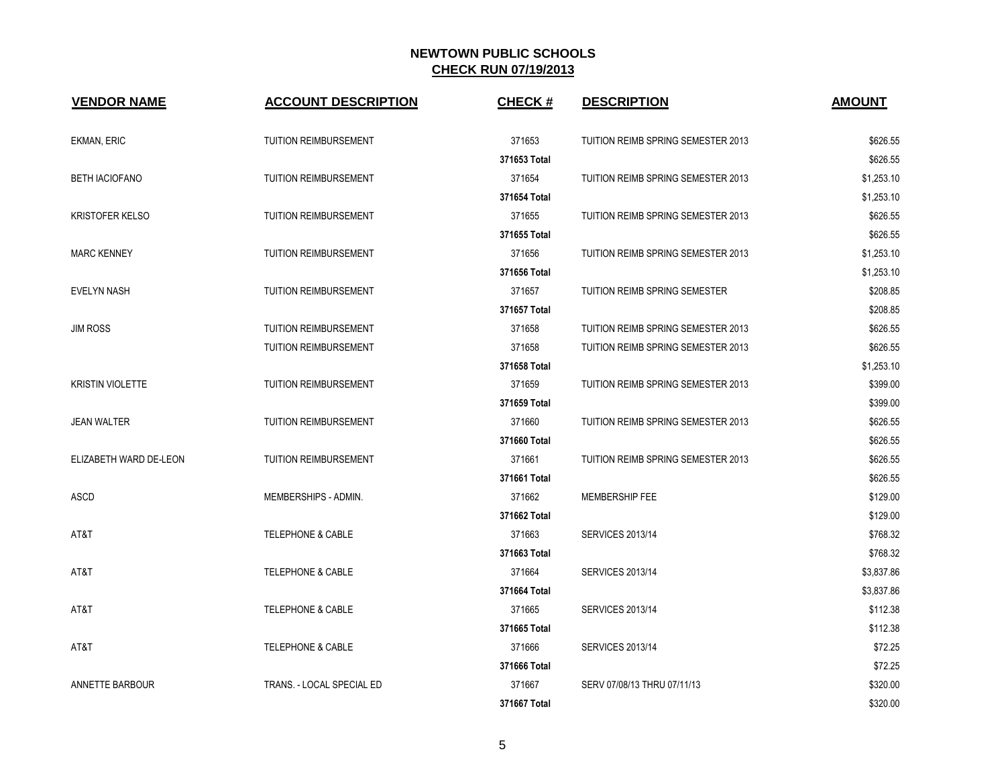| <b>VENDOR NAME</b>      | <b>ACCOUNT DESCRIPTION</b>   | <b>CHECK#</b> | <b>DESCRIPTION</b>                 | <b>AMOUNT</b> |
|-------------------------|------------------------------|---------------|------------------------------------|---------------|
| EKMAN, ERIC             | <b>TUITION REIMBURSEMENT</b> | 371653        | TUITION REIMB SPRING SEMESTER 2013 | \$626.55      |
|                         |                              | 371653 Total  |                                    | \$626.55      |
| <b>BETH IACIOFANO</b>   | <b>TUITION REIMBURSEMENT</b> | 371654        | TUITION REIMB SPRING SEMESTER 2013 | \$1,253.10    |
|                         |                              | 371654 Total  |                                    | \$1,253.10    |
| <b>KRISTOFER KELSO</b>  | TUITION REIMBURSEMENT        | 371655        | TUITION REIMB SPRING SEMESTER 2013 | \$626.55      |
|                         |                              | 371655 Total  |                                    | \$626.55      |
| <b>MARC KENNEY</b>      | <b>TUITION REIMBURSEMENT</b> | 371656        | TUITION REIMB SPRING SEMESTER 2013 | \$1,253.10    |
|                         |                              | 371656 Total  |                                    | \$1,253.10    |
| <b>EVELYN NASH</b>      | <b>TUITION REIMBURSEMENT</b> | 371657        | TUITION REIMB SPRING SEMESTER      | \$208.85      |
|                         |                              | 371657 Total  |                                    | \$208.85      |
| <b>JIM ROSS</b>         | <b>TUITION REIMBURSEMENT</b> | 371658        | TUITION REIMB SPRING SEMESTER 2013 | \$626.55      |
|                         | <b>TUITION REIMBURSEMENT</b> | 371658        | TUITION REIMB SPRING SEMESTER 2013 | \$626.55      |
|                         |                              | 371658 Total  |                                    | \$1,253.10    |
| <b>KRISTIN VIOLETTE</b> | <b>TUITION REIMBURSEMENT</b> | 371659        | TUITION REIMB SPRING SEMESTER 2013 | \$399.00      |
|                         |                              | 371659 Total  |                                    | \$399.00      |
| <b>JEAN WALTER</b>      | <b>TUITION REIMBURSEMENT</b> | 371660        | TUITION REIMB SPRING SEMESTER 2013 | \$626.55      |
|                         |                              | 371660 Total  |                                    | \$626.55      |
| ELIZABETH WARD DE-LEON  | <b>TUITION REIMBURSEMENT</b> | 371661        | TUITION REIMB SPRING SEMESTER 2013 | \$626.55      |
|                         |                              | 371661 Total  |                                    | \$626.55      |
| ASCD                    | MEMBERSHIPS - ADMIN.         | 371662        | MEMBERSHIP FEE                     | \$129.00      |
|                         |                              | 371662 Total  |                                    | \$129.00      |
| AT&T                    | <b>TELEPHONE &amp; CABLE</b> | 371663        | <b>SERVICES 2013/14</b>            | \$768.32      |
|                         |                              | 371663 Total  |                                    | \$768.32      |
| AT&T                    | <b>TELEPHONE &amp; CABLE</b> | 371664        | <b>SERVICES 2013/14</b>            | \$3,837.86    |
|                         |                              | 371664 Total  |                                    | \$3,837.86    |
| AT&T                    | <b>TELEPHONE &amp; CABLE</b> | 371665        | <b>SERVICES 2013/14</b>            | \$112.38      |
|                         |                              | 371665 Total  |                                    | \$112.38      |
| AT&T                    | <b>TELEPHONE &amp; CABLE</b> | 371666        | <b>SERVICES 2013/14</b>            | \$72.25       |
|                         |                              | 371666 Total  |                                    | \$72.25       |
| ANNETTE BARBOUR         | TRANS. - LOCAL SPECIAL ED    | 371667        | SERV 07/08/13 THRU 07/11/13        | \$320.00      |
|                         |                              | 371667 Total  |                                    | \$320.00      |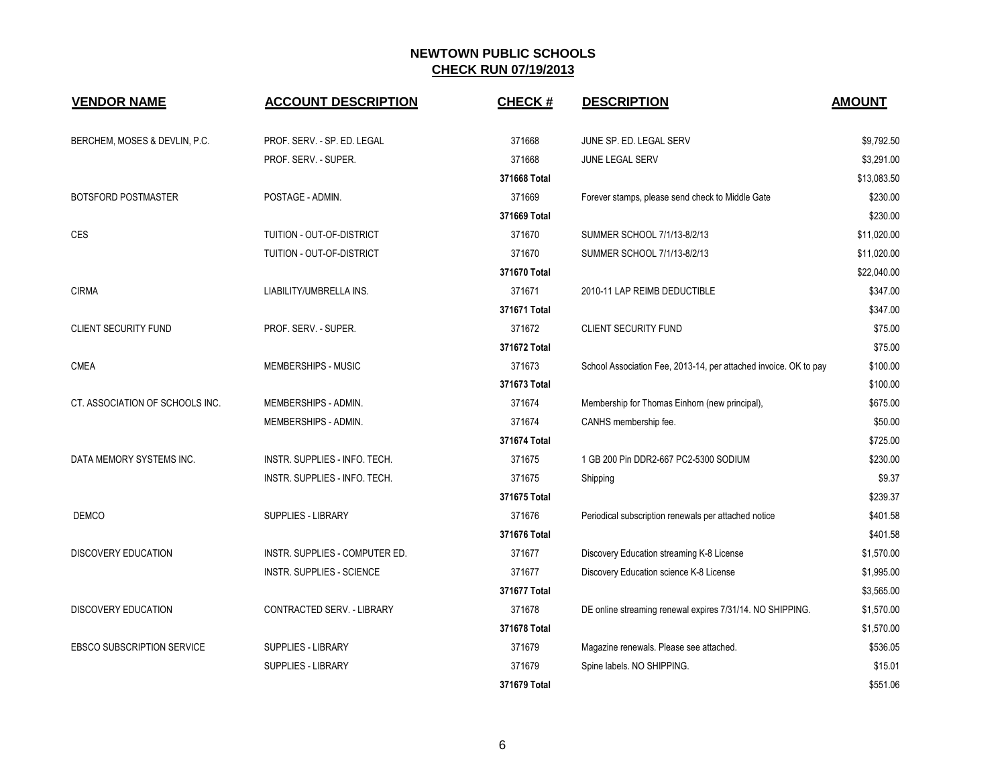| <b>VENDOR NAME</b>                | <b>ACCOUNT DESCRIPTION</b>     | <b>CHECK#</b> | <b>DESCRIPTION</b>                                               | <b>AMOUNT</b> |
|-----------------------------------|--------------------------------|---------------|------------------------------------------------------------------|---------------|
| BERCHEM, MOSES & DEVLIN, P.C.     | PROF. SERV. - SP. ED. LEGAL    | 371668        | JUNE SP. ED. LEGAL SERV                                          | \$9,792.50    |
|                                   | PROF. SERV. - SUPER.           | 371668        | JUNE LEGAL SERV                                                  | \$3,291.00    |
|                                   |                                | 371668 Total  |                                                                  | \$13,083.50   |
| <b>BOTSFORD POSTMASTER</b>        | POSTAGE - ADMIN.               | 371669        | Forever stamps, please send check to Middle Gate                 | \$230.00      |
|                                   |                                | 371669 Total  |                                                                  | \$230.00      |
| CES                               | TUITION - OUT-OF-DISTRICT      | 371670        | SUMMER SCHOOL 7/1/13-8/2/13                                      | \$11,020.00   |
|                                   | TUITION - OUT-OF-DISTRICT      | 371670        | SUMMER SCHOOL 7/1/13-8/2/13                                      | \$11,020.00   |
|                                   |                                | 371670 Total  |                                                                  | \$22,040.00   |
| <b>CIRMA</b>                      | LIABILITY/UMBRELLA INS.        | 371671        | 2010-11 LAP REIMB DEDUCTIBLE                                     | \$347.00      |
|                                   |                                | 371671 Total  |                                                                  | \$347.00      |
| <b>CLIENT SECURITY FUND</b>       | PROF. SERV. - SUPER.           | 371672        | <b>CLIENT SECURITY FUND</b>                                      | \$75.00       |
|                                   |                                | 371672 Total  |                                                                  | \$75.00       |
| <b>CMEA</b>                       | <b>MEMBERSHIPS - MUSIC</b>     | 371673        | School Association Fee, 2013-14, per attached invoice. OK to pay | \$100.00      |
|                                   |                                | 371673 Total  |                                                                  | \$100.00      |
| CT. ASSOCIATION OF SCHOOLS INC.   | MEMBERSHIPS - ADMIN.           | 371674        | Membership for Thomas Einhorn (new principal),                   | \$675.00      |
|                                   | MEMBERSHIPS - ADMIN.           | 371674        | CANHS membership fee.                                            | \$50.00       |
|                                   |                                | 371674 Total  |                                                                  | \$725.00      |
| DATA MEMORY SYSTEMS INC.          | INSTR. SUPPLIES - INFO. TECH.  | 371675        | 1 GB 200 Pin DDR2-667 PC2-5300 SODIUM                            | \$230.00      |
|                                   | INSTR. SUPPLIES - INFO. TECH.  | 371675        | Shipping                                                         | \$9.37        |
|                                   |                                | 371675 Total  |                                                                  | \$239.37      |
| <b>DEMCO</b>                      | SUPPLIES - LIBRARY             | 371676        | Periodical subscription renewals per attached notice             | \$401.58      |
|                                   |                                | 371676 Total  |                                                                  | \$401.58      |
| <b>DISCOVERY EDUCATION</b>        | INSTR. SUPPLIES - COMPUTER ED. | 371677        | Discovery Education streaming K-8 License                        | \$1,570.00    |
|                                   | INSTR. SUPPLIES - SCIENCE      | 371677        | Discovery Education science K-8 License                          | \$1,995.00    |
|                                   |                                | 371677 Total  |                                                                  | \$3,565.00    |
| <b>DISCOVERY EDUCATION</b>        | CONTRACTED SERV. - LIBRARY     | 371678        | DE online streaming renewal expires 7/31/14. NO SHIPPING.        | \$1,570.00    |
|                                   |                                | 371678 Total  |                                                                  | \$1,570.00    |
| <b>EBSCO SUBSCRIPTION SERVICE</b> | <b>SUPPLIES - LIBRARY</b>      | 371679        | Magazine renewals. Please see attached.                          | \$536.05      |
|                                   | <b>SUPPLIES - LIBRARY</b>      | 371679        | Spine labels. NO SHIPPING.                                       | \$15.01       |
|                                   |                                | 371679 Total  |                                                                  | \$551.06      |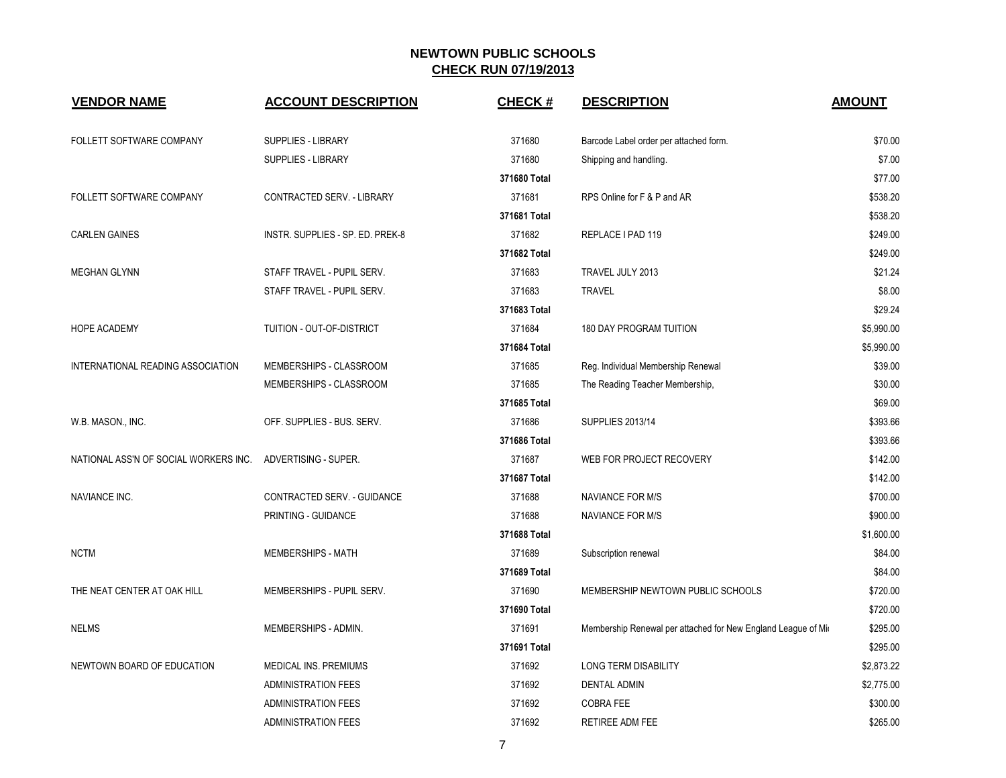| <b>VENDOR NAME</b>                    | <b>ACCOUNT DESCRIPTION</b>       | <b>CHECK#</b> | <b>DESCRIPTION</b>                                            | <b>AMOUNT</b> |
|---------------------------------------|----------------------------------|---------------|---------------------------------------------------------------|---------------|
| FOLLETT SOFTWARE COMPANY              | <b>SUPPLIES - LIBRARY</b>        | 371680        | Barcode Label order per attached form.                        | \$70.00       |
|                                       | SUPPLIES - LIBRARY               | 371680        | Shipping and handling.                                        | \$7.00        |
|                                       |                                  | 371680 Total  |                                                               | \$77.00       |
| FOLLETT SOFTWARE COMPANY              | CONTRACTED SERV. - LIBRARY       | 371681        | RPS Online for F & P and AR                                   | \$538.20      |
|                                       |                                  | 371681 Total  |                                                               | \$538.20      |
| <b>CARLEN GAINES</b>                  | INSTR. SUPPLIES - SP. ED. PREK-8 | 371682        | REPLACE I PAD 119                                             | \$249.00      |
|                                       |                                  | 371682 Total  |                                                               | \$249.00      |
| <b>MEGHAN GLYNN</b>                   | STAFF TRAVEL - PUPIL SERV.       | 371683        | TRAVEL JULY 2013                                              | \$21.24       |
|                                       | STAFF TRAVEL - PUPIL SERV.       | 371683        | <b>TRAVEL</b>                                                 | \$8.00        |
|                                       |                                  | 371683 Total  |                                                               | \$29.24       |
| <b>HOPE ACADEMY</b>                   | TUITION - OUT-OF-DISTRICT        | 371684        | <b>180 DAY PROGRAM TUITION</b>                                | \$5,990.00    |
|                                       |                                  | 371684 Total  |                                                               | \$5,990.00    |
| INTERNATIONAL READING ASSOCIATION     | MEMBERSHIPS - CLASSROOM          | 371685        | Reg. Individual Membership Renewal                            | \$39.00       |
|                                       | MEMBERSHIPS - CLASSROOM          | 371685        | The Reading Teacher Membership,                               | \$30.00       |
|                                       |                                  | 371685 Total  |                                                               | \$69.00       |
| W.B. MASON., INC.                     | OFF. SUPPLIES - BUS. SERV.       | 371686        | <b>SUPPLIES 2013/14</b>                                       | \$393.66      |
|                                       |                                  | 371686 Total  |                                                               | \$393.66      |
| NATIONAL ASS'N OF SOCIAL WORKERS INC. | ADVERTISING - SUPER.             | 371687        | WEB FOR PROJECT RECOVERY                                      | \$142.00      |
|                                       |                                  | 371687 Total  |                                                               | \$142.00      |
| NAVIANCE INC.                         | CONTRACTED SERV. - GUIDANCE      | 371688        | <b>NAVIANCE FOR M/S</b>                                       | \$700.00      |
|                                       | PRINTING - GUIDANCE              | 371688        | <b>NAVIANCE FOR M/S</b>                                       | \$900.00      |
|                                       |                                  | 371688 Total  |                                                               | \$1,600.00    |
| <b>NCTM</b>                           | MEMBERSHIPS - MATH               | 371689        | Subscription renewal                                          | \$84.00       |
|                                       |                                  | 371689 Total  |                                                               | \$84.00       |
| THE NEAT CENTER AT OAK HILL           | MEMBERSHIPS - PUPIL SERV.        | 371690        | MEMBERSHIP NEWTOWN PUBLIC SCHOOLS                             | \$720.00      |
|                                       |                                  | 371690 Total  |                                                               | \$720.00      |
| <b>NELMS</b>                          | MEMBERSHIPS - ADMIN.             | 371691        | Membership Renewal per attached for New England League of Mio | \$295.00      |
|                                       |                                  | 371691 Total  |                                                               | \$295.00      |
| NEWTOWN BOARD OF EDUCATION            | MEDICAL INS. PREMIUMS            | 371692        | <b>LONG TERM DISABILITY</b>                                   | \$2,873.22    |
|                                       | <b>ADMINISTRATION FEES</b>       | 371692        | <b>DENTAL ADMIN</b>                                           | \$2,775.00    |
|                                       | <b>ADMINISTRATION FEES</b>       | 371692        | <b>COBRA FEE</b>                                              | \$300.00      |
|                                       | <b>ADMINISTRATION FEES</b>       | 371692        | RETIREE ADM FEE                                               | \$265.00      |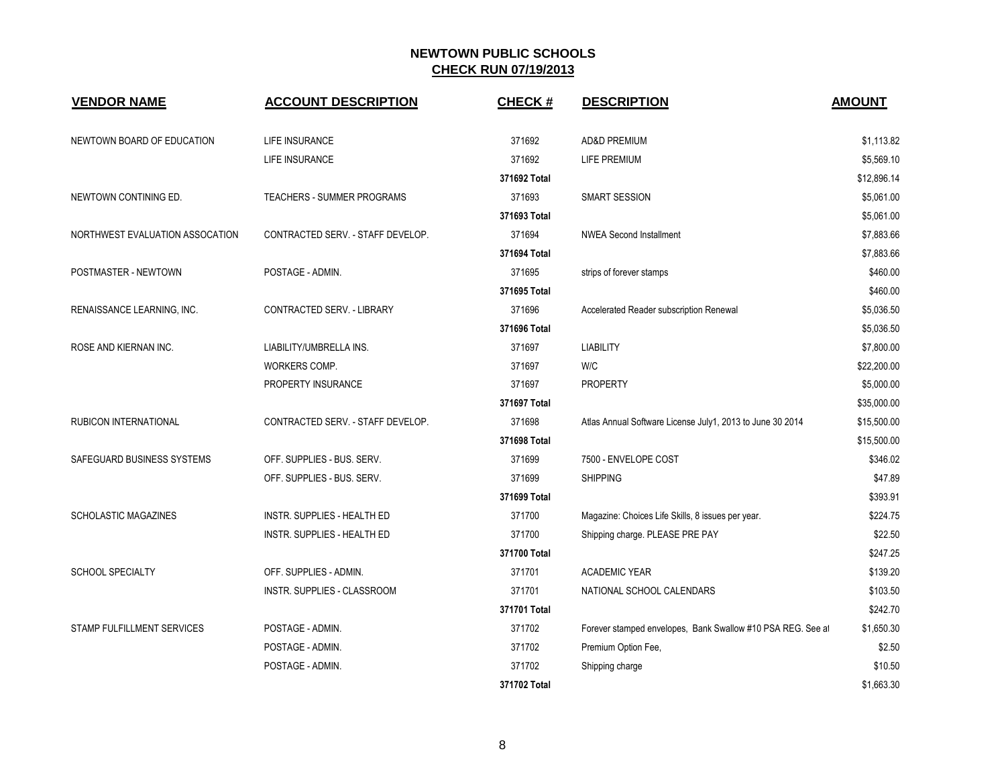| <b>VENDOR NAME</b>              | <b>ACCOUNT DESCRIPTION</b>        | <b>CHECK#</b> | <b>DESCRIPTION</b>                                          | <b>AMOUNT</b> |
|---------------------------------|-----------------------------------|---------------|-------------------------------------------------------------|---------------|
| NEWTOWN BOARD OF EDUCATION      | <b>LIFE INSURANCE</b>             | 371692        | <b>AD&amp;D PREMIUM</b>                                     | \$1,113.82    |
|                                 | LIFE INSURANCE                    | 371692        | LIFE PREMIUM                                                | \$5,569.10    |
|                                 |                                   | 371692 Total  |                                                             | \$12,896.14   |
| NEWTOWN CONTINING ED.           | TEACHERS - SUMMER PROGRAMS        | 371693        | <b>SMART SESSION</b>                                        | \$5,061.00    |
|                                 |                                   | 371693 Total  |                                                             | \$5,061.00    |
| NORTHWEST EVALUATION ASSOCATION | CONTRACTED SERV. - STAFF DEVELOP. | 371694        | <b>NWEA Second Installment</b>                              | \$7,883.66    |
|                                 |                                   | 371694 Total  |                                                             | \$7,883.66    |
| POSTMASTER - NEWTOWN            | POSTAGE - ADMIN.                  | 371695        | strips of forever stamps                                    | \$460.00      |
|                                 |                                   | 371695 Total  |                                                             | \$460.00      |
| RENAISSANCE LEARNING, INC.      | CONTRACTED SERV. - LIBRARY        | 371696        | Accelerated Reader subscription Renewal                     | \$5,036.50    |
|                                 |                                   | 371696 Total  |                                                             | \$5,036.50    |
| ROSE AND KIERNAN INC.           | LIABILITY/UMBRELLA INS.           | 371697        | <b>LIABILITY</b>                                            | \$7,800.00    |
|                                 | WORKERS COMP.                     | 371697        | W/C                                                         | \$22,200.00   |
|                                 | PROPERTY INSURANCE                | 371697        | <b>PROPERTY</b>                                             | \$5,000.00    |
|                                 |                                   | 371697 Total  |                                                             | \$35,000.00   |
| RUBICON INTERNATIONAL           | CONTRACTED SERV. - STAFF DEVELOP. | 371698        | Atlas Annual Software License July1, 2013 to June 30 2014   | \$15,500.00   |
|                                 |                                   | 371698 Total  |                                                             | \$15,500.00   |
| SAFEGUARD BUSINESS SYSTEMS      | OFF. SUPPLIES - BUS. SERV.        | 371699        | 7500 - ENVELOPE COST                                        | \$346.02      |
|                                 | OFF. SUPPLIES - BUS. SERV.        | 371699        | <b>SHIPPING</b>                                             | \$47.89       |
|                                 |                                   | 371699 Total  |                                                             | \$393.91      |
| <b>SCHOLASTIC MAGAZINES</b>     | INSTR. SUPPLIES - HEALTH ED       | 371700        | Magazine: Choices Life Skills, 8 issues per year.           | \$224.75      |
|                                 | INSTR. SUPPLIES - HEALTH ED       | 371700        | Shipping charge. PLEASE PRE PAY                             | \$22.50       |
|                                 |                                   | 371700 Total  |                                                             | \$247.25      |
| <b>SCHOOL SPECIALTY</b>         | OFF. SUPPLIES - ADMIN.            | 371701        | <b>ACADEMIC YEAR</b>                                        | \$139.20      |
|                                 | INSTR. SUPPLIES - CLASSROOM       | 371701        | NATIONAL SCHOOL CALENDARS                                   | \$103.50      |
|                                 |                                   | 371701 Total  |                                                             | \$242.70      |
| STAMP FULFILLMENT SERVICES      | POSTAGE - ADMIN.                  | 371702        | Forever stamped envelopes, Bank Swallow #10 PSA REG. See at | \$1,650.30    |
|                                 | POSTAGE - ADMIN.                  | 371702        | Premium Option Fee,                                         | \$2.50        |
|                                 | POSTAGE - ADMIN.                  | 371702        | Shipping charge                                             | \$10.50       |
|                                 |                                   | 371702 Total  |                                                             | \$1.663.30    |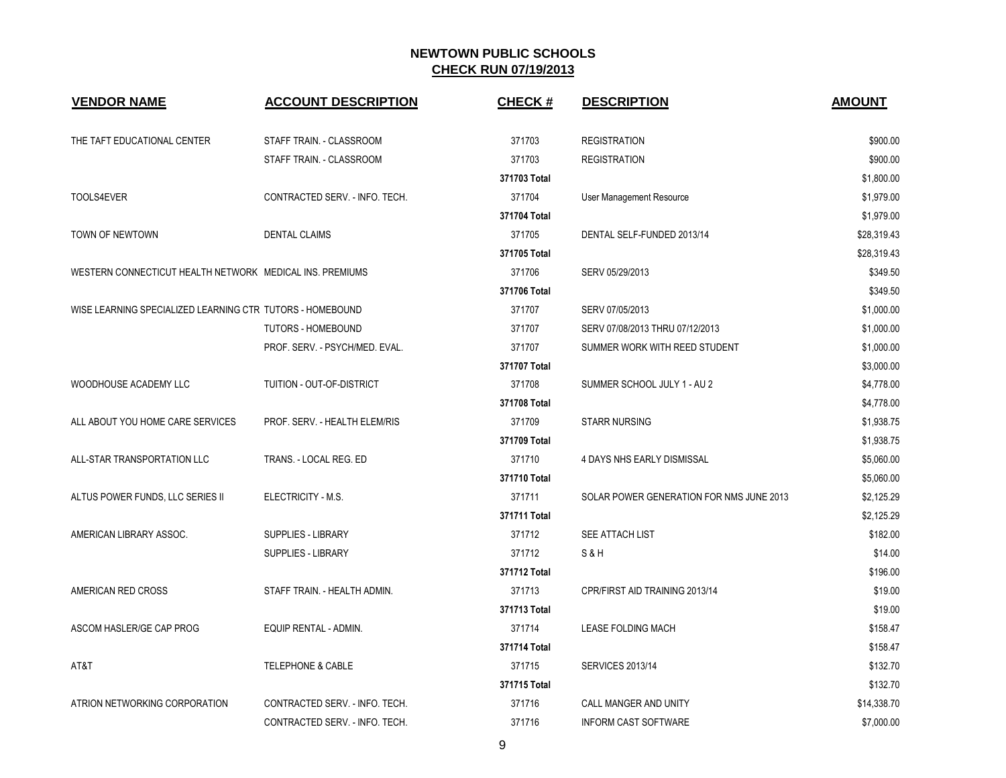| <b>VENDOR NAME</b>                                        | <b>ACCOUNT DESCRIPTION</b>     | <b>CHECK#</b> | <b>DESCRIPTION</b>                       | <b>AMOUNT</b> |
|-----------------------------------------------------------|--------------------------------|---------------|------------------------------------------|---------------|
| THE TAFT EDUCATIONAL CENTER                               | STAFF TRAIN. - CLASSROOM       | 371703        | <b>REGISTRATION</b>                      | \$900.00      |
|                                                           | STAFF TRAIN. - CLASSROOM       | 371703        | <b>REGISTRATION</b>                      | \$900.00      |
|                                                           |                                | 371703 Total  |                                          | \$1,800.00    |
| TOOLS4EVER                                                | CONTRACTED SERV. - INFO. TECH. | 371704        | User Management Resource                 | \$1,979.00    |
|                                                           |                                | 371704 Total  |                                          | \$1,979.00    |
| TOWN OF NEWTOWN                                           | <b>DENTAL CLAIMS</b>           | 371705        | DENTAL SELF-FUNDED 2013/14               | \$28,319.43   |
|                                                           |                                | 371705 Total  |                                          | \$28,319.43   |
| WESTERN CONNECTICUT HEALTH NETWORK MEDICAL INS. PREMIUMS  |                                | 371706        | SERV 05/29/2013                          | \$349.50      |
|                                                           |                                | 371706 Total  |                                          | \$349.50      |
| WISE LEARNING SPECIALIZED LEARNING CTR TUTORS - HOMEBOUND |                                | 371707        | SERV 07/05/2013                          | \$1,000.00    |
|                                                           | <b>TUTORS - HOMEBOUND</b>      | 371707        | SERV 07/08/2013 THRU 07/12/2013          | \$1,000.00    |
|                                                           | PROF. SERV. - PSYCH/MED. EVAL. | 371707        | SUMMER WORK WITH REED STUDENT            | \$1,000.00    |
|                                                           |                                | 371707 Total  |                                          | \$3,000.00    |
| WOODHOUSE ACADEMY LLC                                     | TUITION - OUT-OF-DISTRICT      | 371708        | SUMMER SCHOOL JULY 1 - AU 2              | \$4,778.00    |
|                                                           |                                | 371708 Total  |                                          | \$4,778.00    |
| ALL ABOUT YOU HOME CARE SERVICES                          | PROF. SERV. - HEALTH ELEM/RIS  | 371709        | <b>STARR NURSING</b>                     | \$1,938.75    |
|                                                           |                                | 371709 Total  |                                          | \$1,938.75    |
| ALL-STAR TRANSPORTATION LLC                               | TRANS. - LOCAL REG. ED         | 371710        | 4 DAYS NHS EARLY DISMISSAL               | \$5,060.00    |
|                                                           |                                | 371710 Total  |                                          | \$5,060.00    |
| ALTUS POWER FUNDS, LLC SERIES II                          | ELECTRICITY - M.S.             | 371711        | SOLAR POWER GENERATION FOR NMS JUNE 2013 | \$2,125.29    |
|                                                           |                                | 371711 Total  |                                          | \$2,125.29    |
| AMERICAN LIBRARY ASSOC.                                   | <b>SUPPLIES - LIBRARY</b>      | 371712        | <b>SEE ATTACH LIST</b>                   | \$182.00      |
|                                                           | <b>SUPPLIES - LIBRARY</b>      | 371712        | S&H                                      | \$14.00       |
|                                                           |                                | 371712 Total  |                                          | \$196.00      |
| AMERICAN RED CROSS                                        | STAFF TRAIN. - HEALTH ADMIN.   | 371713        | CPR/FIRST AID TRAINING 2013/14           | \$19.00       |
|                                                           |                                | 371713 Total  |                                          | \$19.00       |
| ASCOM HASLER/GE CAP PROG                                  | EQUIP RENTAL - ADMIN.          | 371714        | <b>LEASE FOLDING MACH</b>                | \$158.47      |
|                                                           |                                | 371714 Total  |                                          | \$158.47      |
| AT&T                                                      | <b>TELEPHONE &amp; CABLE</b>   | 371715        | <b>SERVICES 2013/14</b>                  | \$132.70      |
|                                                           |                                | 371715 Total  |                                          | \$132.70      |
| ATRION NETWORKING CORPORATION                             | CONTRACTED SERV. - INFO. TECH. | 371716        | CALL MANGER AND UNITY                    | \$14,338.70   |
|                                                           | CONTRACTED SERV. - INFO. TECH. | 371716        | <b>INFORM CAST SOFTWARE</b>              | \$7,000.00    |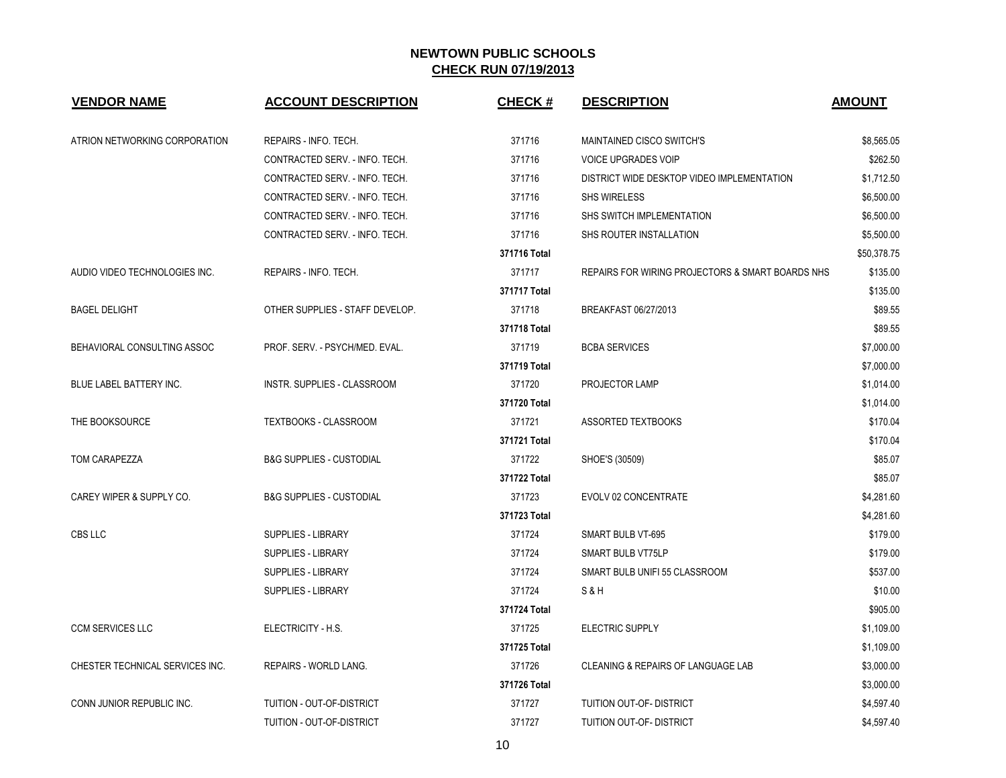| <b>VENDOR NAME</b>              | <b>ACCOUNT DESCRIPTION</b>          | <b>CHECK#</b> | <b>DESCRIPTION</b>                               | <b>AMOUNT</b> |
|---------------------------------|-------------------------------------|---------------|--------------------------------------------------|---------------|
| ATRION NETWORKING CORPORATION   | REPAIRS - INFO. TECH.               | 371716        | MAINTAINED CISCO SWITCH'S                        | \$8,565.05    |
|                                 | CONTRACTED SERV. - INFO. TECH.      | 371716        | <b>VOICE UPGRADES VOIP</b>                       | \$262.50      |
|                                 | CONTRACTED SERV. - INFO. TECH.      | 371716        | DISTRICT WIDE DESKTOP VIDEO IMPLEMENTATION       | \$1,712.50    |
|                                 | CONTRACTED SERV. - INFO. TECH.      | 371716        | <b>SHS WIRELESS</b>                              | \$6,500.00    |
|                                 | CONTRACTED SERV. - INFO. TECH.      | 371716        | SHS SWITCH IMPLEMENTATION                        | \$6,500.00    |
|                                 | CONTRACTED SERV. - INFO. TECH.      | 371716        | SHS ROUTER INSTALLATION                          | \$5,500.00    |
|                                 |                                     | 371716 Total  |                                                  | \$50,378.75   |
| AUDIO VIDEO TECHNOLOGIES INC.   | REPAIRS - INFO. TECH.               | 371717        | REPAIRS FOR WIRING PROJECTORS & SMART BOARDS NHS | \$135.00      |
|                                 |                                     | 371717 Total  |                                                  | \$135.00      |
| <b>BAGEL DELIGHT</b>            | OTHER SUPPLIES - STAFF DEVELOP.     | 371718        | BREAKFAST 06/27/2013                             | \$89.55       |
|                                 |                                     | 371718 Total  |                                                  | \$89.55       |
| BEHAVIORAL CONSULTING ASSOC     | PROF. SERV. - PSYCH/MED. EVAL.      | 371719        | <b>BCBA SERVICES</b>                             | \$7,000.00    |
|                                 |                                     | 371719 Total  |                                                  | \$7,000.00    |
| <b>BLUE LABEL BATTERY INC.</b>  | INSTR. SUPPLIES - CLASSROOM         | 371720        | PROJECTOR LAMP                                   | \$1,014.00    |
|                                 |                                     | 371720 Total  |                                                  | \$1,014.00    |
| THE BOOKSOURCE                  | TEXTBOOKS - CLASSROOM               | 371721        | <b>ASSORTED TEXTBOOKS</b>                        | \$170.04      |
|                                 |                                     | 371721 Total  |                                                  | \$170.04      |
| TOM CARAPEZZA                   | <b>B&amp;G SUPPLIES - CUSTODIAL</b> | 371722        | SHOE'S (30509)                                   | \$85.07       |
|                                 |                                     | 371722 Total  |                                                  | \$85.07       |
| CAREY WIPER & SUPPLY CO.        | <b>B&amp;G SUPPLIES - CUSTODIAL</b> | 371723        | EVOLV 02 CONCENTRATE                             | \$4,281.60    |
|                                 |                                     | 371723 Total  |                                                  | \$4,281.60    |
| CBS LLC                         | SUPPLIES - LIBRARY                  | 371724        | SMART BULB VT-695                                | \$179.00      |
|                                 | SUPPLIES - LIBRARY                  | 371724        | SMART BULB VT75LP                                | \$179.00      |
|                                 | <b>SUPPLIES - LIBRARY</b>           | 371724        | SMART BULB UNIFI 55 CLASSROOM                    | \$537.00      |
|                                 | SUPPLIES - LIBRARY                  | 371724        | <b>S&amp;H</b>                                   | \$10.00       |
|                                 |                                     | 371724 Total  |                                                  | \$905.00      |
| <b>CCM SERVICES LLC</b>         | ELECTRICITY - H.S.                  | 371725        | <b>ELECTRIC SUPPLY</b>                           | \$1,109.00    |
|                                 |                                     | 371725 Total  |                                                  | \$1,109.00    |
| CHESTER TECHNICAL SERVICES INC. | <b>REPAIRS - WORLD LANG.</b>        | 371726        | CLEANING & REPAIRS OF LANGUAGE LAB               | \$3,000.00    |
|                                 |                                     | 371726 Total  |                                                  | \$3,000.00    |
| CONN JUNIOR REPUBLIC INC.       | TUITION - OUT-OF-DISTRICT           | 371727        | <b>TUITION OUT-OF- DISTRICT</b>                  | \$4,597.40    |
|                                 | TUITION - OUT-OF-DISTRICT           | 371727        | TUITION OUT-OF- DISTRICT                         | \$4,597.40    |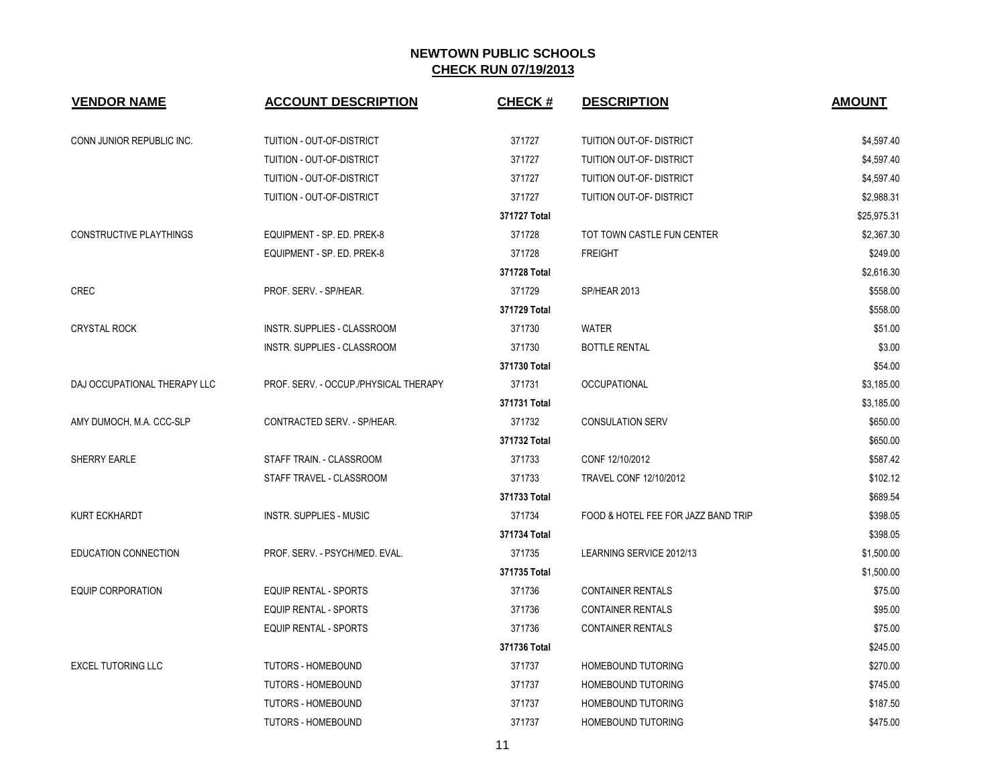| <b>VENDOR NAME</b>             | <b>ACCOUNT DESCRIPTION</b>            | <b>CHECK#</b> | <b>DESCRIPTION</b>                  | <b>AMOUNT</b> |
|--------------------------------|---------------------------------------|---------------|-------------------------------------|---------------|
| CONN JUNIOR REPUBLIC INC.      | TUITION - OUT-OF-DISTRICT             | 371727        | TUITION OUT-OF- DISTRICT            | \$4,597.40    |
|                                | TUITION - OUT-OF-DISTRICT             | 371727        | TUITION OUT-OF- DISTRICT            | \$4,597.40    |
|                                | TUITION - OUT-OF-DISTRICT             | 371727        | TUITION OUT-OF- DISTRICT            | \$4,597.40    |
|                                | TUITION - OUT-OF-DISTRICT             | 371727        | TUITION OUT-OF- DISTRICT            | \$2,988.31    |
|                                |                                       | 371727 Total  |                                     | \$25,975.31   |
| <b>CONSTRUCTIVE PLAYTHINGS</b> | EQUIPMENT - SP. ED. PREK-8            | 371728        | TOT TOWN CASTLE FUN CENTER          | \$2,367.30    |
|                                | EQUIPMENT - SP. ED. PREK-8            | 371728        | <b>FREIGHT</b>                      | \$249.00      |
|                                |                                       | 371728 Total  |                                     | \$2,616.30    |
| <b>CREC</b>                    | PROF. SERV. - SP/HEAR.                | 371729        | SP/HEAR 2013                        | \$558.00      |
|                                |                                       | 371729 Total  |                                     | \$558.00      |
| <b>CRYSTAL ROCK</b>            | <b>INSTR. SUPPLIES - CLASSROOM</b>    | 371730        | <b>WATER</b>                        | \$51.00       |
|                                | <b>INSTR. SUPPLIES - CLASSROOM</b>    | 371730        | <b>BOTTLE RENTAL</b>                | \$3.00        |
|                                |                                       | 371730 Total  |                                     | \$54.00       |
| DAJ OCCUPATIONAL THERAPY LLC   | PROF. SERV. - OCCUP./PHYSICAL THERAPY | 371731        | <b>OCCUPATIONAL</b>                 | \$3,185.00    |
|                                |                                       | 371731 Total  |                                     | \$3,185.00    |
| AMY DUMOCH, M.A. CCC-SLP       | CONTRACTED SERV. - SP/HEAR.           | 371732        | <b>CONSULATION SERV</b>             | \$650.00      |
|                                |                                       | 371732 Total  |                                     | \$650.00      |
| SHERRY EARLE                   | STAFF TRAIN. - CLASSROOM              | 371733        | CONF 12/10/2012                     | \$587.42      |
|                                | STAFF TRAVEL - CLASSROOM              | 371733        | TRAVEL CONF 12/10/2012              | \$102.12      |
|                                |                                       | 371733 Total  |                                     | \$689.54      |
| <b>KURT ECKHARDT</b>           | <b>INSTR. SUPPLIES - MUSIC</b>        | 371734        | FOOD & HOTEL FEE FOR JAZZ BAND TRIP | \$398.05      |
|                                |                                       | 371734 Total  |                                     | \$398.05      |
| EDUCATION CONNECTION           | PROF. SERV. - PSYCH/MED. EVAL.        | 371735        | LEARNING SERVICE 2012/13            | \$1,500.00    |
|                                |                                       | 371735 Total  |                                     | \$1,500.00    |
| <b>EQUIP CORPORATION</b>       | <b>EQUIP RENTAL - SPORTS</b>          | 371736        | <b>CONTAINER RENTALS</b>            | \$75.00       |
|                                | <b>EQUIP RENTAL - SPORTS</b>          | 371736        | <b>CONTAINER RENTALS</b>            | \$95.00       |
|                                | EQUIP RENTAL - SPORTS                 | 371736        | <b>CONTAINER RENTALS</b>            | \$75.00       |
|                                |                                       | 371736 Total  |                                     | \$245.00      |
| <b>EXCEL TUTORING LLC</b>      | <b>TUTORS - HOMEBOUND</b>             | 371737        | HOMEBOUND TUTORING                  | \$270.00      |
|                                | <b>TUTORS - HOMEBOUND</b>             | 371737        | HOMEBOUND TUTORING                  | \$745.00      |
|                                | <b>TUTORS - HOMEBOUND</b>             | 371737        | HOMEBOUND TUTORING                  | \$187.50      |
|                                | <b>TUTORS - HOMEBOUND</b>             | 371737        | HOMEBOUND TUTORING                  | \$475.00      |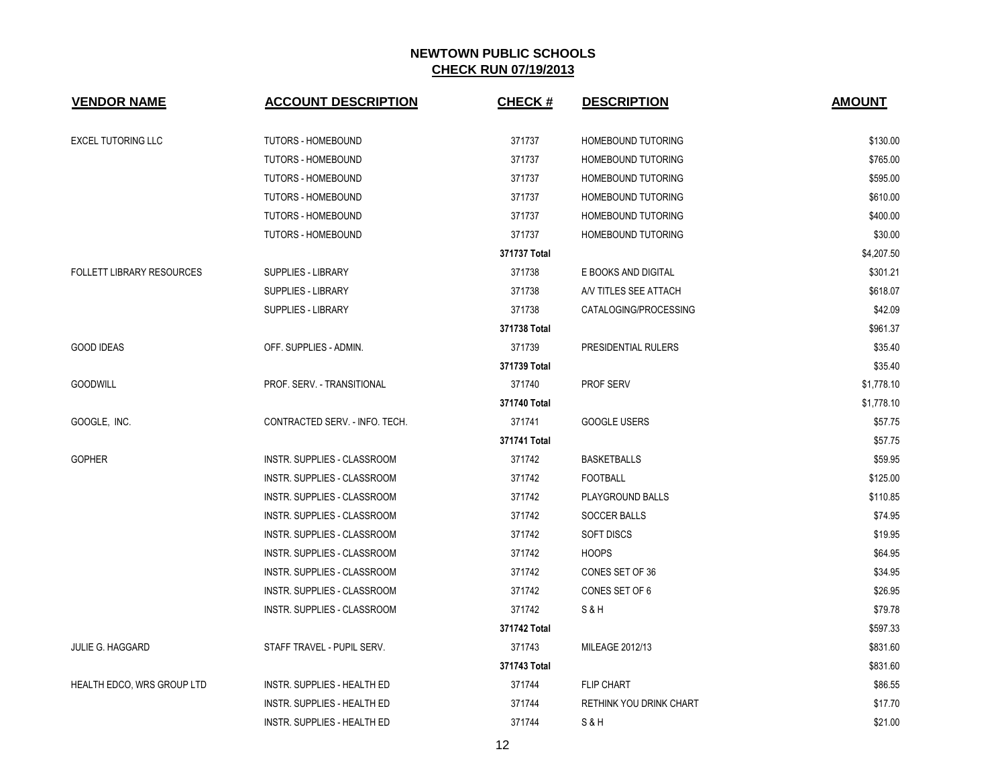| <b>VENDOR NAME</b>               | <b>ACCOUNT DESCRIPTION</b>         | <b>CHECK#</b> | <b>DESCRIPTION</b>        | <b>AMOUNT</b> |
|----------------------------------|------------------------------------|---------------|---------------------------|---------------|
| <b>EXCEL TUTORING LLC</b>        | <b>TUTORS - HOMEBOUND</b>          | 371737        | HOMEBOUND TUTORING        | \$130.00      |
|                                  | <b>TUTORS - HOMEBOUND</b>          | 371737        | HOMEBOUND TUTORING        | \$765.00      |
|                                  | <b>TUTORS - HOMEBOUND</b>          | 371737        | HOMEBOUND TUTORING        | \$595.00      |
|                                  | <b>TUTORS - HOMEBOUND</b>          | 371737        | HOMEBOUND TUTORING        | \$610.00      |
|                                  | <b>TUTORS - HOMEBOUND</b>          | 371737        | HOMEBOUND TUTORING        | \$400.00      |
|                                  | <b>TUTORS - HOMEBOUND</b>          | 371737        | <b>HOMEBOUND TUTORING</b> | \$30.00       |
|                                  |                                    | 371737 Total  |                           | \$4,207.50    |
| <b>FOLLETT LIBRARY RESOURCES</b> | SUPPLIES - LIBRARY                 | 371738        | E BOOKS AND DIGITAL       | \$301.21      |
|                                  | <b>SUPPLIES - LIBRARY</b>          | 371738        | AN TITLES SEE ATTACH      | \$618.07      |
|                                  | <b>SUPPLIES - LIBRARY</b>          | 371738        | CATALOGING/PROCESSING     | \$42.09       |
|                                  |                                    | 371738 Total  |                           | \$961.37      |
| <b>GOOD IDEAS</b>                | OFF. SUPPLIES - ADMIN.             | 371739        | PRESIDENTIAL RULERS       | \$35.40       |
|                                  |                                    | 371739 Total  |                           | \$35.40       |
| <b>GOODWILL</b>                  | PROF. SERV. - TRANSITIONAL         | 371740        | <b>PROF SERV</b>          | \$1,778.10    |
|                                  |                                    | 371740 Total  |                           | \$1,778.10    |
| GOOGLE, INC.                     | CONTRACTED SERV. - INFO. TECH.     | 371741        | <b>GOOGLE USERS</b>       | \$57.75       |
|                                  |                                    | 371741 Total  |                           | \$57.75       |
| <b>GOPHER</b>                    | INSTR. SUPPLIES - CLASSROOM        | 371742        | <b>BASKETBALLS</b>        | \$59.95       |
|                                  | INSTR. SUPPLIES - CLASSROOM        | 371742        | <b>FOOTBALL</b>           | \$125.00      |
|                                  | INSTR. SUPPLIES - CLASSROOM        | 371742        | PLAYGROUND BALLS          | \$110.85      |
|                                  | INSTR. SUPPLIES - CLASSROOM        | 371742        | <b>SOCCER BALLS</b>       | \$74.95       |
|                                  | <b>INSTR. SUPPLIES - CLASSROOM</b> | 371742        | <b>SOFT DISCS</b>         | \$19.95       |
|                                  | <b>INSTR. SUPPLIES - CLASSROOM</b> | 371742        | <b>HOOPS</b>              | \$64.95       |
|                                  | <b>INSTR. SUPPLIES - CLASSROOM</b> | 371742        | CONES SET OF 36           | \$34.95       |
|                                  | INSTR. SUPPLIES - CLASSROOM        | 371742        | CONES SET OF 6            | \$26.95       |
|                                  | INSTR. SUPPLIES - CLASSROOM        | 371742        | S&H                       | \$79.78       |
|                                  |                                    | 371742 Total  |                           | \$597.33      |
| <b>JULIE G. HAGGARD</b>          | STAFF TRAVEL - PUPIL SERV.         | 371743        | MILEAGE 2012/13           | \$831.60      |
|                                  |                                    | 371743 Total  |                           | \$831.60      |
| HEALTH EDCO, WRS GROUP LTD       | <b>INSTR. SUPPLIES - HEALTH ED</b> | 371744        | <b>FLIP CHART</b>         | \$86.55       |
|                                  | <b>INSTR. SUPPLIES - HEALTH ED</b> | 371744        | RETHINK YOU DRINK CHART   | \$17.70       |
|                                  | INSTR. SUPPLIES - HEALTH ED        | 371744        | S&H                       | \$21.00       |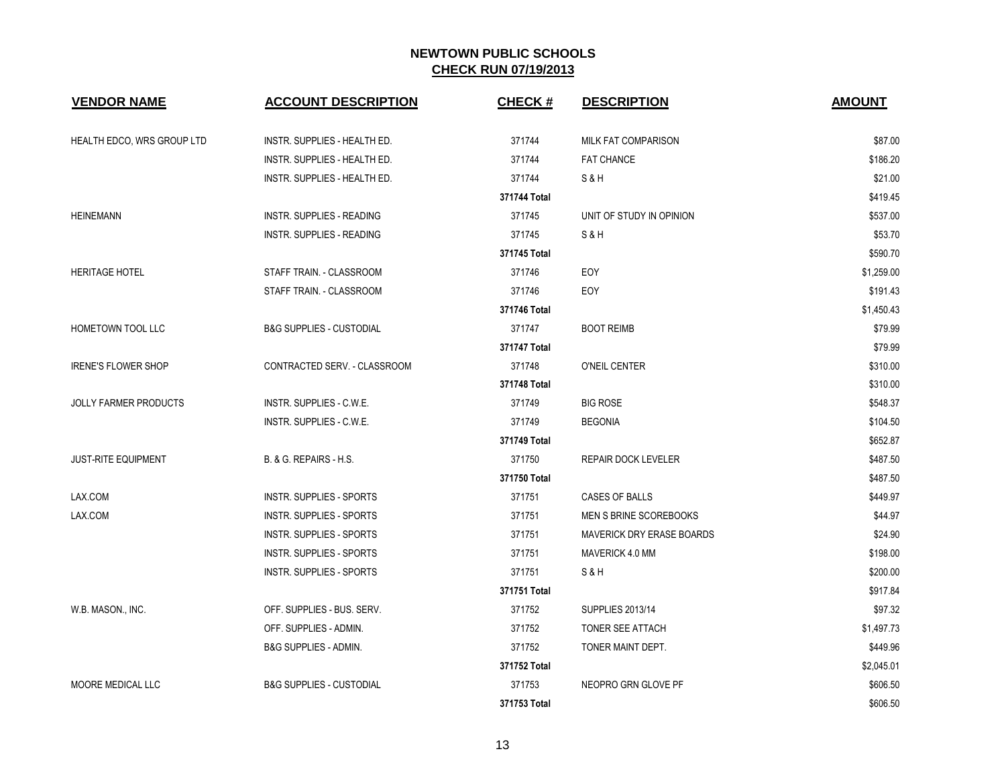| <b>VENDOR NAME</b>         | <b>ACCOUNT DESCRIPTION</b>          | <b>CHECK#</b> | <b>DESCRIPTION</b>               | <b>AMOUNT</b> |
|----------------------------|-------------------------------------|---------------|----------------------------------|---------------|
| HEALTH EDCO, WRS GROUP LTD | INSTR. SUPPLIES - HEALTH ED.        | 371744        | <b>MILK FAT COMPARISON</b>       | \$87.00       |
|                            | INSTR. SUPPLIES - HEALTH ED.        | 371744        | <b>FAT CHANCE</b>                | \$186.20      |
|                            | INSTR. SUPPLIES - HEALTH ED.        | 371744        | S & H                            | \$21.00       |
|                            |                                     | 371744 Total  |                                  | \$419.45      |
| <b>HEINEMANN</b>           | INSTR. SUPPLIES - READING           | 371745        | UNIT OF STUDY IN OPINION         | \$537.00      |
|                            | INSTR. SUPPLIES - READING           | 371745        | S&H                              | \$53.70       |
|                            |                                     | 371745 Total  |                                  | \$590.70      |
| <b>HERITAGE HOTEL</b>      | STAFF TRAIN. - CLASSROOM            | 371746        | EOY                              | \$1,259.00    |
|                            | STAFF TRAIN. - CLASSROOM            | 371746        | EOY                              | \$191.43      |
|                            |                                     | 371746 Total  |                                  | \$1,450.43    |
| HOMETOWN TOOL LLC          | <b>B&amp;G SUPPLIES - CUSTODIAL</b> | 371747        | <b>BOOT REIMB</b>                | \$79.99       |
|                            |                                     | 371747 Total  |                                  | \$79.99       |
| <b>IRENE'S FLOWER SHOP</b> | CONTRACTED SERV. - CLASSROOM        | 371748        | O'NEIL CENTER                    | \$310.00      |
|                            |                                     | 371748 Total  |                                  | \$310.00      |
| JOLLY FARMER PRODUCTS      | INSTR. SUPPLIES - C.W.E.            | 371749        | <b>BIG ROSE</b>                  | \$548.37      |
|                            | INSTR. SUPPLIES - C.W.E.            | 371749        | <b>BEGONIA</b>                   | \$104.50      |
|                            |                                     | 371749 Total  |                                  | \$652.87      |
| <b>JUST-RITE EQUIPMENT</b> | B. & G. REPAIRS - H.S.              | 371750        | REPAIR DOCK LEVELER              | \$487.50      |
|                            |                                     | 371750 Total  |                                  | \$487.50      |
| LAX.COM                    | INSTR. SUPPLIES - SPORTS            | 371751        | CASES OF BALLS                   | \$449.97      |
| LAX.COM                    | INSTR. SUPPLIES - SPORTS            | 371751        | MEN S BRINE SCOREBOOKS           | \$44.97       |
|                            | INSTR. SUPPLIES - SPORTS            | 371751        | <b>MAVERICK DRY ERASE BOARDS</b> | \$24.90       |
|                            | INSTR. SUPPLIES - SPORTS            | 371751        | MAVERICK 4.0 MM                  | \$198.00      |
|                            | INSTR. SUPPLIES - SPORTS            | 371751        | S & H                            | \$200.00      |
|                            |                                     | 371751 Total  |                                  | \$917.84      |
| W.B. MASON., INC.          | OFF. SUPPLIES - BUS. SERV.          | 371752        | <b>SUPPLIES 2013/14</b>          | \$97.32       |
|                            | OFF. SUPPLIES - ADMIN.              | 371752        | TONER SEE ATTACH                 | \$1,497.73    |
|                            | B&G SUPPLIES - ADMIN.               | 371752        | TONER MAINT DEPT.                | \$449.96      |
|                            |                                     | 371752 Total  |                                  | \$2,045.01    |
| <b>MOORE MEDICAL LLC</b>   | <b>B&amp;G SUPPLIES - CUSTODIAL</b> | 371753        | NEOPRO GRN GLOVE PF              | \$606.50      |
|                            |                                     | 371753 Total  |                                  | \$606.50      |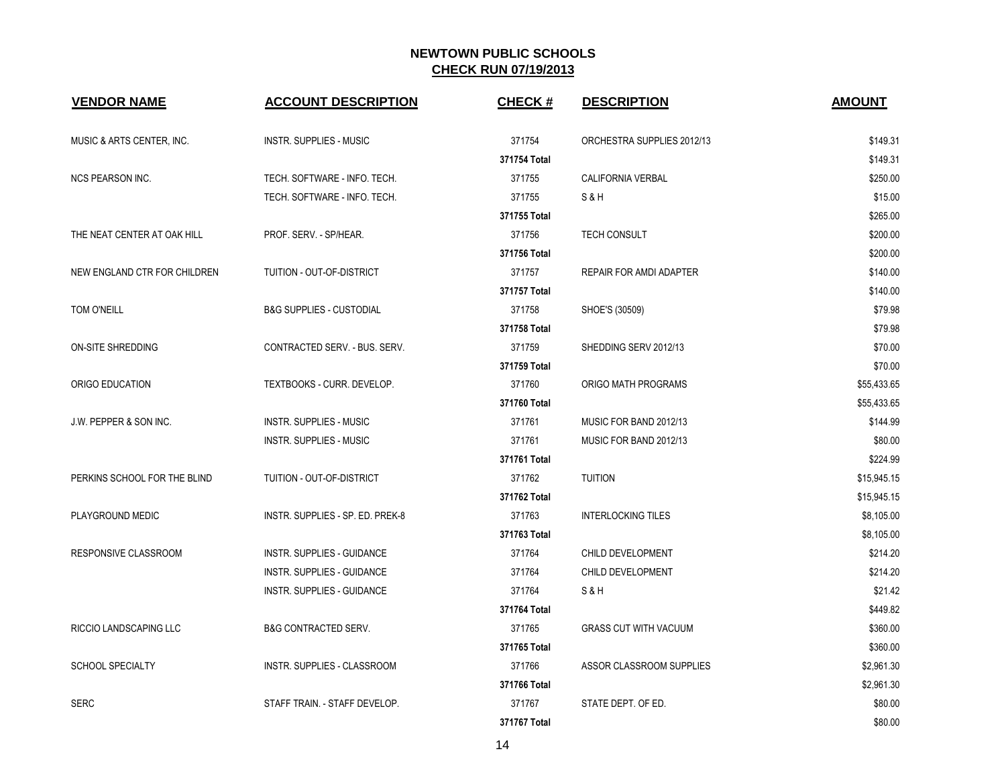| <b>VENDOR NAME</b>                | <b>ACCOUNT DESCRIPTION</b>          | <b>CHECK#</b> | <b>DESCRIPTION</b>           | <b>AMOUNT</b> |
|-----------------------------------|-------------------------------------|---------------|------------------------------|---------------|
| MUSIC & ARTS CENTER, INC.         | <b>INSTR. SUPPLIES - MUSIC</b>      | 371754        | ORCHESTRA SUPPLIES 2012/13   | \$149.31      |
|                                   |                                     | 371754 Total  |                              | \$149.31      |
| <b>NCS PEARSON INC.</b>           | TECH. SOFTWARE - INFO. TECH.        | 371755        | CALIFORNIA VERBAL            | \$250.00      |
|                                   | TECH. SOFTWARE - INFO. TECH.        | 371755        | S&H                          | \$15.00       |
|                                   |                                     | 371755 Total  |                              | \$265.00      |
| THE NEAT CENTER AT OAK HILL       | PROF. SERV. - SP/HEAR.              | 371756        | <b>TECH CONSULT</b>          | \$200.00      |
|                                   |                                     | 371756 Total  |                              | \$200.00      |
| NEW ENGLAND CTR FOR CHILDREN      | TUITION - OUT-OF-DISTRICT           | 371757        | REPAIR FOR AMDI ADAPTER      | \$140.00      |
|                                   |                                     | 371757 Total  |                              | \$140.00      |
| TOM O'NEILL                       | <b>B&amp;G SUPPLIES - CUSTODIAL</b> | 371758        | SHOE'S (30509)               | \$79.98       |
|                                   |                                     | 371758 Total  |                              | \$79.98       |
| ON-SITE SHREDDING                 | CONTRACTED SERV. - BUS. SERV.       | 371759        | SHEDDING SERV 2012/13        | \$70.00       |
|                                   |                                     | 371759 Total  |                              | \$70.00       |
| ORIGO EDUCATION                   | TEXTBOOKS - CURR. DEVELOP.          | 371760        | ORIGO MATH PROGRAMS          | \$55,433.65   |
|                                   |                                     | 371760 Total  |                              | \$55,433.65   |
| <b>J.W. PEPPER &amp; SON INC.</b> | <b>INSTR. SUPPLIES - MUSIC</b>      | 371761        | MUSIC FOR BAND 2012/13       | \$144.99      |
|                                   | INSTR. SUPPLIES - MUSIC             | 371761        | MUSIC FOR BAND 2012/13       | \$80.00       |
|                                   |                                     | 371761 Total  |                              | \$224.99      |
| PERKINS SCHOOL FOR THE BLIND      | TUITION - OUT-OF-DISTRICT           | 371762        | <b>TUITION</b>               | \$15,945.15   |
|                                   |                                     | 371762 Total  |                              | \$15,945.15   |
| PLAYGROUND MEDIC                  | INSTR. SUPPLIES - SP. ED. PREK-8    | 371763        | <b>INTERLOCKING TILES</b>    | \$8,105.00    |
|                                   |                                     | 371763 Total  |                              | \$8,105.00    |
| RESPONSIVE CLASSROOM              | INSTR. SUPPLIES - GUIDANCE          | 371764        | CHILD DEVELOPMENT            | \$214.20      |
|                                   | INSTR. SUPPLIES - GUIDANCE          | 371764        | CHILD DEVELOPMENT            | \$214.20      |
|                                   | INSTR. SUPPLIES - GUIDANCE          | 371764        | S&H                          | \$21.42       |
|                                   |                                     | 371764 Total  |                              | \$449.82      |
| RICCIO LANDSCAPING LLC            | <b>B&amp;G CONTRACTED SERV.</b>     | 371765        | <b>GRASS CUT WITH VACUUM</b> | \$360.00      |
|                                   |                                     | 371765 Total  |                              | \$360.00      |
| <b>SCHOOL SPECIALTY</b>           | <b>INSTR. SUPPLIES - CLASSROOM</b>  | 371766        | ASSOR CLASSROOM SUPPLIES     | \$2,961.30    |
|                                   |                                     | 371766 Total  |                              | \$2,961.30    |
| <b>SERC</b>                       | STAFF TRAIN. - STAFF DEVELOP.       | 371767        | STATE DEPT. OF ED.           | \$80.00       |
|                                   |                                     | 371767 Total  |                              | \$80.00       |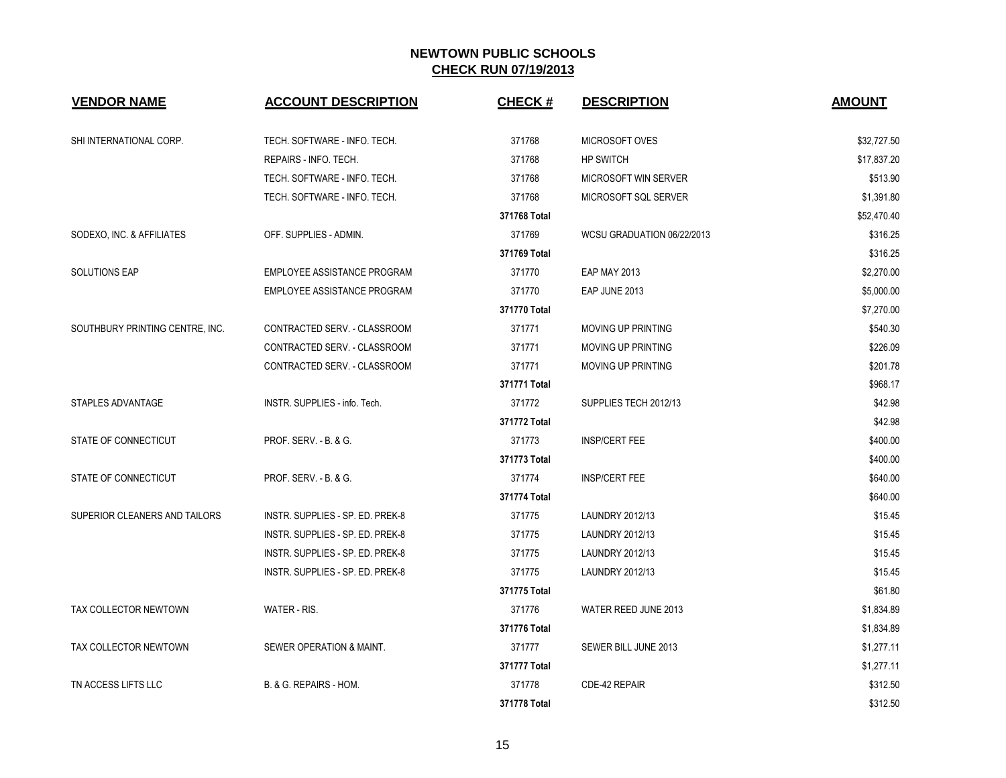| <b>VENDOR NAME</b>              | <b>ACCOUNT DESCRIPTION</b>         | <b>CHECK#</b> | <b>DESCRIPTION</b>         | <b>AMOUNT</b> |
|---------------------------------|------------------------------------|---------------|----------------------------|---------------|
| SHI INTERNATIONAL CORP.         | TECH. SOFTWARE - INFO. TECH.       | 371768        | MICROSOFT OVES             | \$32,727.50   |
|                                 | REPAIRS - INFO. TECH.              | 371768        | <b>HP SWITCH</b>           | \$17,837.20   |
|                                 | TECH. SOFTWARE - INFO. TECH.       | 371768        | MICROSOFT WIN SERVER       | \$513.90      |
|                                 | TECH. SOFTWARE - INFO. TECH.       | 371768        | MICROSOFT SQL SERVER       | \$1,391.80    |
|                                 |                                    | 371768 Total  |                            | \$52,470.40   |
| SODEXO, INC. & AFFILIATES       | OFF. SUPPLIES - ADMIN.             | 371769        | WCSU GRADUATION 06/22/2013 | \$316.25      |
|                                 |                                    | 371769 Total  |                            | \$316.25      |
| <b>SOLUTIONS EAP</b>            | EMPLOYEE ASSISTANCE PROGRAM        | 371770        | <b>EAP MAY 2013</b>        | \$2.270.00    |
|                                 | <b>EMPLOYEE ASSISTANCE PROGRAM</b> | 371770        | EAP JUNE 2013              | \$5,000.00    |
|                                 |                                    | 371770 Total  |                            | \$7,270.00    |
| SOUTHBURY PRINTING CENTRE, INC. | CONTRACTED SERV. - CLASSROOM       | 371771        | <b>MOVING UP PRINTING</b>  | \$540.30      |
|                                 | CONTRACTED SERV. - CLASSROOM       | 371771        | <b>MOVING UP PRINTING</b>  | \$226.09      |
|                                 | CONTRACTED SERV. - CLASSROOM       | 371771        | <b>MOVING UP PRINTING</b>  | \$201.78      |
|                                 |                                    | 371771 Total  |                            | \$968.17      |
| STAPLES ADVANTAGE               | INSTR. SUPPLIES - info. Tech.      | 371772        | SUPPLIES TECH 2012/13      | \$42.98       |
|                                 |                                    | 371772 Total  |                            | \$42.98       |
| STATE OF CONNECTICUT            | <b>PROF. SERV. - B. &amp; G.</b>   | 371773        | <b>INSP/CERT FEE</b>       | \$400.00      |
|                                 |                                    | 371773 Total  |                            | \$400.00      |
| STATE OF CONNECTICUT            | PROF. SERV. - B. & G.              | 371774        | <b>INSP/CERT FEE</b>       | \$640.00      |
|                                 |                                    | 371774 Total  |                            | \$640.00      |
| SUPERIOR CLEANERS AND TAILORS   | INSTR. SUPPLIES - SP. ED. PREK-8   | 371775        | LAUNDRY 2012/13            | \$15.45       |
|                                 | INSTR. SUPPLIES - SP. ED. PREK-8   | 371775        | LAUNDRY 2012/13            | \$15.45       |
|                                 | INSTR. SUPPLIES - SP. ED. PREK-8   | 371775        | LAUNDRY 2012/13            | \$15.45       |
|                                 | INSTR. SUPPLIES - SP. ED. PREK-8   | 371775        | LAUNDRY 2012/13            | \$15.45       |
|                                 |                                    | 371775 Total  |                            | \$61.80       |
| TAX COLLECTOR NEWTOWN           | WATER - RIS.                       | 371776        | WATER REED JUNE 2013       | \$1,834.89    |
|                                 |                                    | 371776 Total  |                            | \$1,834.89    |
| TAX COLLECTOR NEWTOWN           | SEWER OPERATION & MAINT.           | 371777        | SEWER BILL JUNE 2013       | \$1,277.11    |
|                                 |                                    | 371777 Total  |                            | \$1,277.11    |
| TN ACCESS LIFTS LLC             | B. & G. REPAIRS - HOM.             | 371778        | CDE-42 REPAIR              | \$312.50      |
|                                 |                                    | 371778 Total  |                            | \$312.50      |